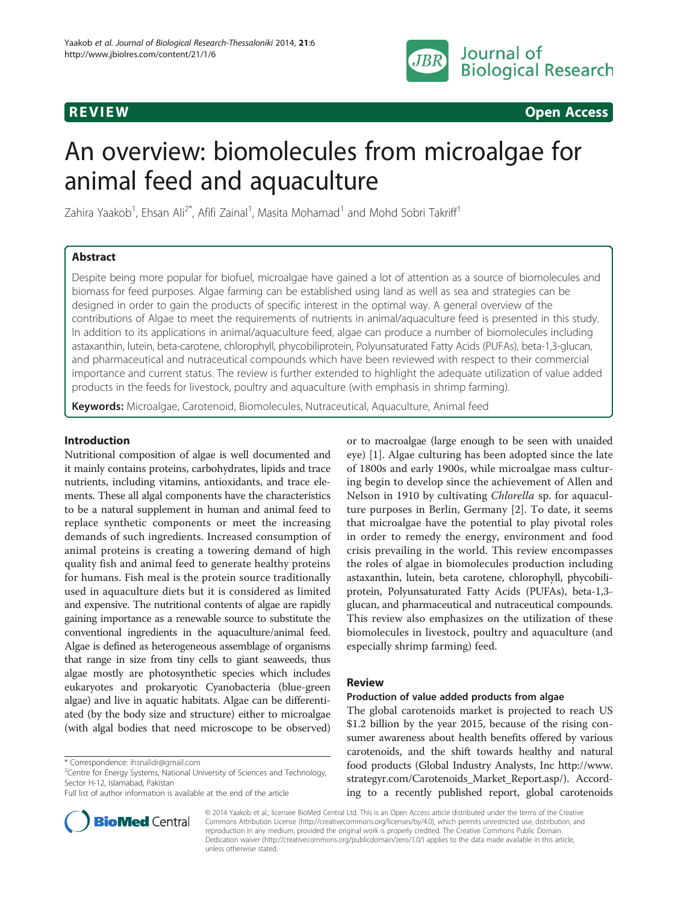## Journal of **Biological Research**



# An overview: biomolecules from microalgae for animal feed and aquaculture

Zahira Yaakob<sup>1</sup>, Ehsan Ali<sup>2\*</sup>, Afifi Zainal<sup>1</sup>, Masita Mohamad<sup>1</sup> and Mohd Sobri Takriff<sup>1</sup>

### Abstract

Despite being more popular for biofuel, microalgae have gained a lot of attention as a source of biomolecules and biomass for feed purposes. Algae farming can be established using land as well as sea and strategies can be designed in order to gain the products of specific interest in the optimal way. A general overview of the contributions of Algae to meet the requirements of nutrients in animal/aquaculture feed is presented in this study. In addition to its applications in animal/aquaculture feed, algae can produce a number of biomolecules including astaxanthin, lutein, beta-carotene, chlorophyll, phycobiliprotein, Polyunsaturated Fatty Acids (PUFAs), beta-1,3-glucan, and pharmaceutical and nutraceutical compounds which have been reviewed with respect to their commercial importance and current status. The review is further extended to highlight the adequate utilization of value added products in the feeds for livestock, poultry and aquaculture (with emphasis in shrimp farming).

Keywords: Microalgae, Carotenoid, Biomolecules, Nutraceutical, Aquaculture, Animal feed

#### Introduction

Nutritional composition of algae is well documented and it mainly contains proteins, carbohydrates, lipids and trace nutrients, including vitamins, antioxidants, and trace elements. These all algal components have the characteristics to be a natural supplement in human and animal feed to replace synthetic components or meet the increasing demands of such ingredients. Increased consumption of animal proteins is creating a towering demand of high quality fish and animal feed to generate healthy proteins for humans. Fish meal is the protein source traditionally used in aquaculture diets but it is considered as limited and expensive. The nutritional contents of algae are rapidly gaining importance as a renewable source to substitute the conventional ingredients in the aquaculture/animal feed. Algae is defined as heterogeneous assemblage of organisms that range in size from tiny cells to giant seaweeds, thus algae mostly are photosynthetic species which includes eukaryotes and prokaryotic Cyanobacteria (blue-green algae) and live in aquatic habitats. Algae can be differentiated (by the body size and structure) either to microalgae (with algal bodies that need microscope to be observed)

Full list of author information is available at the end of the article



or to macroalgae (large enough to be seen with unaided eye) [[1\]](#page-7-0). Algae culturing has been adopted since the late of 1800s and early 1900s, while microalgae mass culturing begin to develop since the achievement of Allen and Nelson in 1910 by cultivating Chlorella sp. for aquaculture purposes in Berlin, Germany [\[2](#page-7-0)]. To date, it seems that microalgae have the potential to play pivotal roles in order to remedy the energy, environment and food crisis prevailing in the world. This review encompasses the roles of algae in biomolecules production including astaxanthin, lutein, beta carotene, chlorophyll, phycobiliprotein, Polyunsaturated Fatty Acids (PUFAs), beta-1,3 glucan, and pharmaceutical and nutraceutical compounds. This review also emphasizes on the utilization of these biomolecules in livestock, poultry and aquaculture (and especially shrimp farming) feed.

#### Review

#### Production of value added products from algae

The global carotenoids market is projected to reach US \$1.2 billion by the year 2015, because of the rising consumer awareness about health benefits offered by various carotenoids, and the shift towards healthy and natural food products (Global Industry Analysts, Inc [http://www.](http://www.strategyr.com/Carotenoids_Market_Report.asp/) [strategyr.com/Carotenoids\\_Market\\_Report.asp/\)](http://www.strategyr.com/Carotenoids_Market_Report.asp/). According to a recently published report, global carotenoids

© 2014 Yaakob et al.; licensee BioMed Central Ltd. This is an Open Access article distributed under the terms of the Creative Commons Attribution License [\(http://creativecommons.org/licenses/by/4.0\)](http://creativecommons.org/licenses/by/4.0), which permits unrestricted use, distribution, and reproduction in any medium, provided the original work is properly credited. The Creative Commons Public Domain Dedication waiver [\(http://creativecommons.org/publicdomain/zero/1.0/](http://creativecommons.org/publicdomain/zero/1.0/)) applies to the data made available in this article, unless otherwise stated.

<sup>\*</sup> Correspondence: [ihsnalidr@gmail.com](mailto:ihsnalidr@gmail.com) <sup>2</sup>

<sup>&</sup>lt;sup>2</sup> Centre for Energy Systems, National University of Sciences and Technology, Sector H-12, Islamabad, Pakistan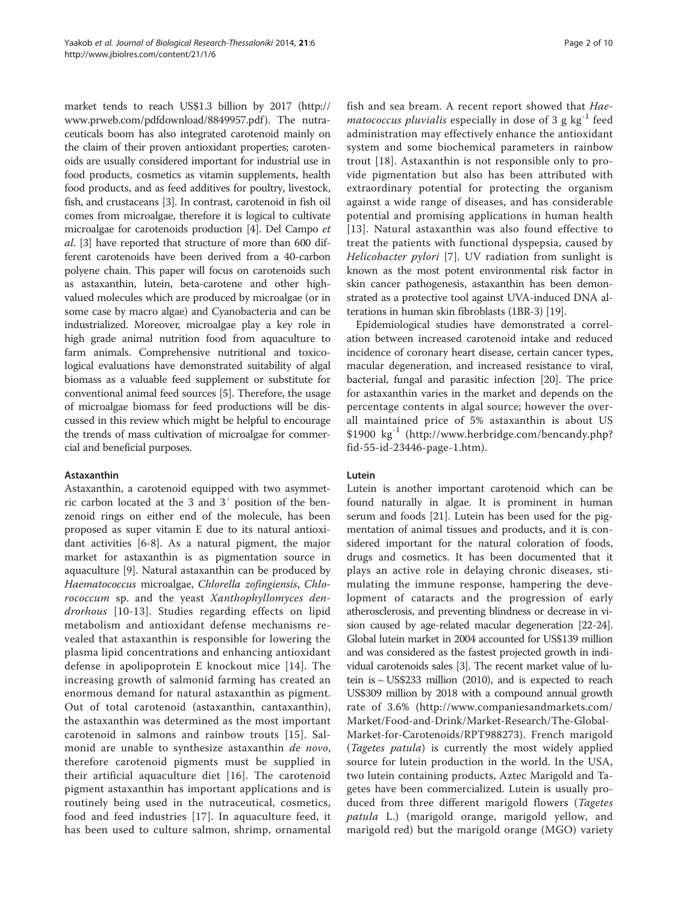market tends to reach US\$1.3 billion by 2017 ([http://](http://www.prweb.com/pdfdownload/8849957.pdf) [www.prweb.com/pdfdownload/8849957.pdf](http://www.prweb.com/pdfdownload/8849957.pdf) ). The nutraceuticals boom has also integrated carotenoid mainly on the claim of their proven antioxidant properties; carotenoids are usually considered important for industrial use in food products, cosmetics as vitamin supplements, health food products, and as feed additives for poultry, livestock, fish, and crustaceans [[3](#page-7-0)]. In contrast, carotenoid in fish oil comes from microalgae, therefore it is logical to cultivate microalgae for carotenoids production [[4](#page-7-0)]. Del Campo et al. [\[3\]](#page-7-0) have reported that structure of more than 600 different carotenoids have been derived from a 40-carbon polyene chain. This paper will focus on carotenoids such as astaxanthin, lutein, beta-carotene and other highvalued molecules which are produced by microalgae (or in some case by macro algae) and Cyanobacteria and can be industrialized. Moreover, microalgae play a key role in high grade animal nutrition food from aquaculture to farm animals. Comprehensive nutritional and toxicological evaluations have demonstrated suitability of algal biomass as a valuable feed supplement or substitute for conventional animal feed sources [[5\]](#page-7-0). Therefore, the usage of microalgae biomass for feed productions will be discussed in this review which might be helpful to encourage the trends of mass cultivation of microalgae for commercial and beneficial purposes.

#### Astaxanthin

Astaxanthin, a carotenoid equipped with two asymmetric carbon located at the 3 and 3΄ position of the benzenoid rings on either end of the molecule, has been proposed as super vitamin E due to its natural antioxidant activities [[6-8](#page-7-0)]. As a natural pigment, the major market for astaxanthin is as pigmentation source in aquaculture [\[9](#page-7-0)]. Natural astaxanthin can be produced by Haematococcus microalgae, Chlorella zofingiensis, Chlorococcum sp. and the yeast Xanthophyllomyces dendrorhous [\[10-13\]](#page-7-0). Studies regarding effects on lipid metabolism and antioxidant defense mechanisms revealed that astaxanthin is responsible for lowering the plasma lipid concentrations and enhancing antioxidant defense in apolipoprotein E knockout mice [[14](#page-8-0)]. The increasing growth of salmonid farming has created an enormous demand for natural astaxanthin as pigment. Out of total carotenoid (astaxanthin, cantaxanthin), the astaxanthin was determined as the most important carotenoid in salmons and rainbow trouts [[15\]](#page-8-0). Salmonid are unable to synthesize astaxanthin de novo, therefore carotenoid pigments must be supplied in their artificial aquaculture diet [\[16](#page-8-0)]. The carotenoid pigment astaxanthin has important applications and is routinely being used in the nutraceutical, cosmetics, food and feed industries [[17](#page-8-0)]. In aquaculture feed, it has been used to culture salmon, shrimp, ornamental fish and sea bream. A recent report showed that Hae*matococcus pluvialis* especially in dose of 3 g  $kg^{-1}$  feed administration may effectively enhance the antioxidant system and some biochemical parameters in rainbow trout [[18](#page-8-0)]. Astaxanthin is not responsible only to provide pigmentation but also has been attributed with extraordinary potential for protecting the organism against a wide range of diseases, and has considerable potential and promising applications in human health [[13](#page-7-0)]. Natural astaxanthin was also found effective to treat the patients with functional dyspepsia, caused by Helicobacter pylori [[7\]](#page-7-0). UV radiation from sunlight is known as the most potent environmental risk factor in skin cancer pathogenesis, astaxanthin has been demonstrated as a protective tool against UVA-induced DNA alterations in human skin fibroblasts (1BR-3) [\[19\]](#page-8-0).

Epidemiological studies have demonstrated a correlation between increased carotenoid intake and reduced incidence of coronary heart disease, certain cancer types, macular degeneration, and increased resistance to viral, bacterial, fungal and parasitic infection [[20\]](#page-8-0). The price for astaxanthin varies in the market and depends on the percentage contents in algal source; however the overall maintained price of 5% astaxanthin is about US \$1900 kg-1 ([http://www.herbridge.com/bencandy.php?](http://www.herbridge.com/bencandy.php?fid-55-id-23446-page-1.htm) [fid-55-id-23446-page-1.htm\)](http://www.herbridge.com/bencandy.php?fid-55-id-23446-page-1.htm).

#### Lutein

Lutein is another important carotenoid which can be found naturally in algae. It is prominent in human serum and foods [[21\]](#page-8-0). Lutein has been used for the pigmentation of animal tissues and products, and it is considered important for the natural coloration of foods, drugs and cosmetics. It has been documented that it plays an active role in delaying chronic diseases, stimulating the immune response, hampering the development of cataracts and the progression of early atherosclerosis, and preventing blindness or decrease in vision caused by age-related macular degeneration [\[22-24](#page-8-0)]. Global lutein market in 2004 accounted for US\$139 million and was considered as the fastest projected growth in individual carotenoids sales [[3](#page-7-0)]. The recent market value of lutein is  $\sim$  US\$233 million (2010), and is expected to reach US\$309 million by 2018 with a compound annual growth rate of 3.6% ([http://www.companiesandmarkets.com/](http://www.companiesandmarkets.com/Market/Food-and-Drink/Market-Research/The-Global-Market-for-Carotenoids/RPT988273) [Market/Food-and-Drink/Market-Research/The-Global-](http://www.companiesandmarkets.com/Market/Food-and-Drink/Market-Research/The-Global-Market-for-Carotenoids/RPT988273)[Market-for-Carotenoids/RPT988273](http://www.companiesandmarkets.com/Market/Food-and-Drink/Market-Research/The-Global-Market-for-Carotenoids/RPT988273)). French marigold (Tagetes patula) is currently the most widely applied source for lutein production in the world. In the USA, two lutein containing products, Aztec Marigold and Tagetes have been commercialized. Lutein is usually produced from three different marigold flowers (Tagetes patula L.) (marigold orange, marigold yellow, and marigold red) but the marigold orange (MGO) variety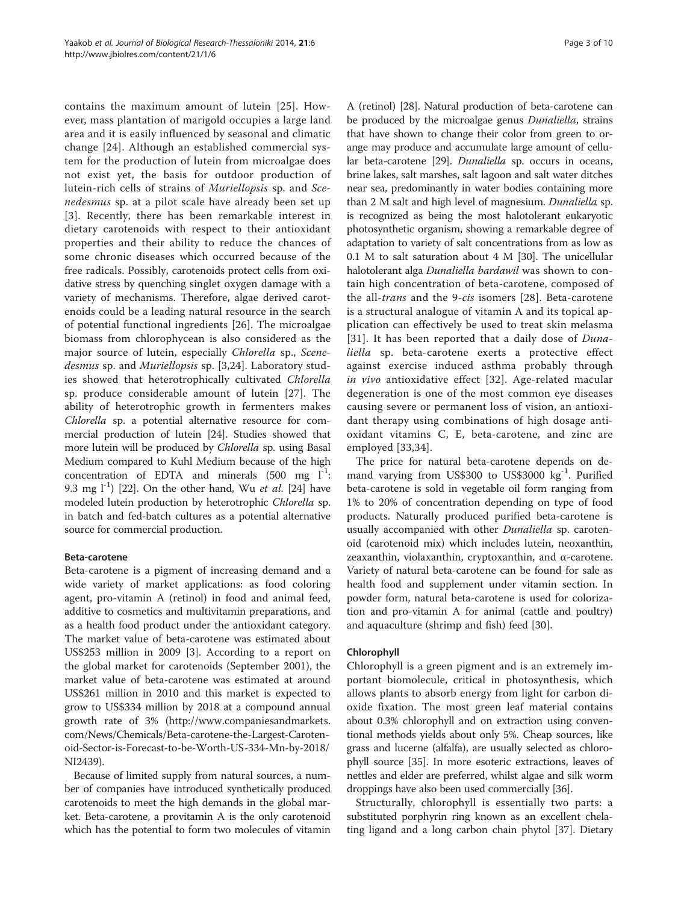contains the maximum amount of lutein [\[25](#page-8-0)]. However, mass plantation of marigold occupies a large land area and it is easily influenced by seasonal and climatic change [\[24\]](#page-8-0). Although an established commercial system for the production of lutein from microalgae does not exist yet, the basis for outdoor production of lutein-rich cells of strains of Muriellopsis sp. and Scenedesmus sp. at a pilot scale have already been set up [[3](#page-7-0)]. Recently, there has been remarkable interest in dietary carotenoids with respect to their antioxidant properties and their ability to reduce the chances of some chronic diseases which occurred because of the free radicals. Possibly, carotenoids protect cells from oxidative stress by quenching singlet oxygen damage with a variety of mechanisms. Therefore, algae derived carotenoids could be a leading natural resource in the search of potential functional ingredients [[26\]](#page-8-0). The microalgae biomass from chlorophycean is also considered as the major source of lutein, especially Chlorella sp., Scene-desmus sp. and Muriellopsis sp. [[3,](#page-7-0)[24\]](#page-8-0). Laboratory studies showed that heterotrophically cultivated Chlorella sp. produce considerable amount of lutein [\[27](#page-8-0)]. The ability of heterotrophic growth in fermenters makes Chlorella sp. a potential alternative resource for commercial production of lutein [\[24\]](#page-8-0). Studies showed that more lutein will be produced by Chlorella sp. using Basal Medium compared to Kuhl Medium because of the high concentration of EDTA and minerals  $(500 \text{ mg } l^{-1})$ : 9.3 mg  $\lbrack$ <sup>-1</sup>) [\[22\]](#page-8-0). On the other hand, Wu *et al.* [[24](#page-8-0)] have modeled lutein production by heterotrophic Chlorella sp. in batch and fed-batch cultures as a potential alternative source for commercial production.

#### Beta-carotene

Beta-carotene is a pigment of increasing demand and a wide variety of market applications: as food coloring agent, pro-vitamin A (retinol) in food and animal feed, additive to cosmetics and multivitamin preparations, and as a health food product under the antioxidant category. The market value of beta-carotene was estimated about US\$253 million in 2009 [[3](#page-7-0)]. According to a report on the global market for carotenoids (September 2001), the market value of beta-carotene was estimated at around US\$261 million in 2010 and this market is expected to grow to US\$334 million by 2018 at a compound annual growth rate of 3% [\(http://www.companiesandmarkets.](http://www.companiesandmarkets.com/News/Chemicals/Beta-carotene-the-Largest-Carotenoid-Sector-is-Forecast-to-be-Worth-US-334-Mn-by-2018/NI2439) [com/News/Chemicals/Beta-carotene-the-Largest-Caroten](http://www.companiesandmarkets.com/News/Chemicals/Beta-carotene-the-Largest-Carotenoid-Sector-is-Forecast-to-be-Worth-US-334-Mn-by-2018/NI2439)[oid-Sector-is-Forecast-to-be-Worth-US-334-Mn-by-2018/](http://www.companiesandmarkets.com/News/Chemicals/Beta-carotene-the-Largest-Carotenoid-Sector-is-Forecast-to-be-Worth-US-334-Mn-by-2018/NI2439) [NI2439\)](http://www.companiesandmarkets.com/News/Chemicals/Beta-carotene-the-Largest-Carotenoid-Sector-is-Forecast-to-be-Worth-US-334-Mn-by-2018/NI2439).

Because of limited supply from natural sources, a number of companies have introduced synthetically produced carotenoids to meet the high demands in the global market. Beta-carotene, a provitamin A is the only carotenoid which has the potential to form two molecules of vitamin

A (retinol) [\[28\]](#page-8-0). Natural production of beta-carotene can be produced by the microalgae genus Dunaliella, strains that have shown to change their color from green to orange may produce and accumulate large amount of cellular beta-carotene [\[29](#page-8-0)]. Dunaliella sp. occurs in oceans, brine lakes, salt marshes, salt lagoon and salt water ditches near sea, predominantly in water bodies containing more than 2 M salt and high level of magnesium. Dunaliella sp. is recognized as being the most halotolerant eukaryotic photosynthetic organism, showing a remarkable degree of adaptation to variety of salt concentrations from as low as 0.1 M to salt saturation about 4 M [\[30\]](#page-8-0). The unicellular halotolerant alga *Dunaliella bardawil* was shown to contain high concentration of beta-carotene, composed of the all-trans and the 9-cis isomers [\[28\]](#page-8-0). Beta-carotene is a structural analogue of vitamin A and its topical application can effectively be used to treat skin melasma [[31](#page-8-0)]. It has been reported that a daily dose of Dunaliella sp. beta-carotene exerts a protective effect against exercise induced asthma probably through in vivo antioxidative effect [[32](#page-8-0)]. Age-related macular degeneration is one of the most common eye diseases causing severe or permanent loss of vision, an antioxidant therapy using combinations of high dosage antioxidant vitamins C, E, beta-carotene, and zinc are employed [[33,34](#page-8-0)].

The price for natural beta-carotene depends on demand varying from US\$300 to US\$3000  $kg^{-1}$ . Purified beta-carotene is sold in vegetable oil form ranging from 1% to 20% of concentration depending on type of food products. Naturally produced purified beta-carotene is usually accompanied with other Dunaliella sp. carotenoid (carotenoid mix) which includes lutein, neoxanthin, zeaxanthin, violaxanthin, cryptoxanthin, and α-carotene. Variety of natural beta-carotene can be found for sale as health food and supplement under vitamin section. In powder form, natural beta-carotene is used for colorization and pro-vitamin A for animal (cattle and poultry) and aquaculture (shrimp and fish) feed [\[30](#page-8-0)].

#### Chlorophyll

Chlorophyll is a green pigment and is an extremely important biomolecule, critical in photosynthesis, which allows plants to absorb energy from light for carbon dioxide fixation. The most green leaf material contains about 0.3% chlorophyll and on extraction using conventional methods yields about only 5%. Cheap sources, like grass and lucerne (alfalfa), are usually selected as chlorophyll source [[35](#page-8-0)]. In more esoteric extractions, leaves of nettles and elder are preferred, whilst algae and silk worm droppings have also been used commercially [\[36](#page-8-0)].

Structurally, chlorophyll is essentially two parts: a substituted porphyrin ring known as an excellent chelating ligand and a long carbon chain phytol [[37](#page-8-0)]. Dietary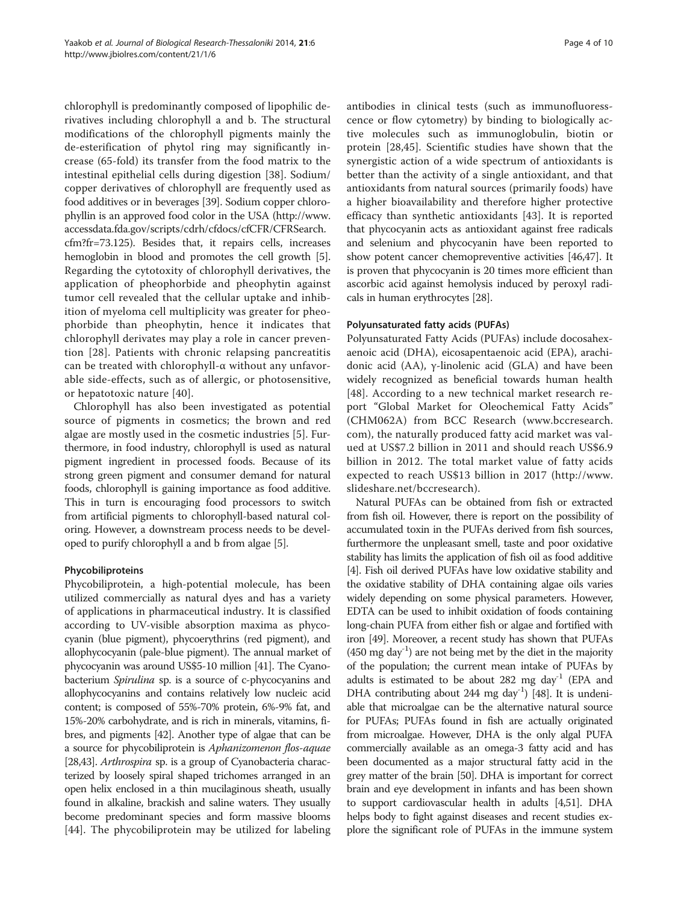chlorophyll is predominantly composed of lipophilic derivatives including chlorophyll a and b. The structural modifications of the chlorophyll pigments mainly the de-esterification of phytol ring may significantly increase (65-fold) its transfer from the food matrix to the intestinal epithelial cells during digestion [\[38](#page-8-0)]. Sodium/ copper derivatives of chlorophyll are frequently used as food additives or in beverages [[39](#page-8-0)]. Sodium copper chlorophyllin is an approved food color in the USA ([http://www.](http://www.accessdata.fda.gov/scripts/cdrh/cfdocs/cfCFR/CFRSearch.cfm?fr=73.125) [accessdata.fda.gov/scripts/cdrh/cfdocs/cfCFR/CFRSearch.](http://www.accessdata.fda.gov/scripts/cdrh/cfdocs/cfCFR/CFRSearch.cfm?fr=73.125) [cfm?fr=73.125\)](http://www.accessdata.fda.gov/scripts/cdrh/cfdocs/cfCFR/CFRSearch.cfm?fr=73.125). Besides that, it repairs cells, increases hemoglobin in blood and promotes the cell growth [[5](#page-7-0)]. Regarding the cytotoxity of chlorophyll derivatives, the application of pheophorbide and pheophytin against tumor cell revealed that the cellular uptake and inhibition of myeloma cell multiplicity was greater for pheophorbide than pheophytin, hence it indicates that chlorophyll derivates may play a role in cancer prevention [\[28](#page-8-0)]. Patients with chronic relapsing pancreatitis can be treated with chlorophyll-α without any unfavorable side-effects, such as of allergic, or photosensitive, or hepatotoxic nature [\[40\]](#page-8-0).

Chlorophyll has also been investigated as potential source of pigments in cosmetics; the brown and red algae are mostly used in the cosmetic industries [\[5](#page-7-0)]. Furthermore, in food industry, chlorophyll is used as natural pigment ingredient in processed foods. Because of its strong green pigment and consumer demand for natural foods, chlorophyll is gaining importance as food additive. This in turn is encouraging food processors to switch from artificial pigments to chlorophyll-based natural coloring. However, a downstream process needs to be developed to purify chlorophyll a and b from algae [[5](#page-7-0)].

#### Phycobiliproteins

Phycobiliprotein, a high-potential molecule, has been utilized commercially as natural dyes and has a variety of applications in pharmaceutical industry. It is classified according to UV-visible absorption maxima as phycocyanin (blue pigment), phycoerythrins (red pigment), and allophycocyanin (pale-blue pigment). The annual market of phycocyanin was around US\$5-10 million [\[41\]](#page-8-0). The Cyanobacterium Spirulina sp. is a source of c-phycocyanins and allophycocyanins and contains relatively low nucleic acid content; is composed of 55%-70% protein, 6%-9% fat, and 15%-20% carbohydrate, and is rich in minerals, vitamins, fibres, and pigments [\[42\]](#page-8-0). Another type of algae that can be a source for phycobiliprotein is Aphanizomenon flos-aquae [[28,43\]](#page-8-0). Arthrospira sp. is a group of Cyanobacteria characterized by loosely spiral shaped trichomes arranged in an open helix enclosed in a thin mucilaginous sheath, usually found in alkaline, brackish and saline waters. They usually become predominant species and form massive blooms [[44\]](#page-8-0). The phycobiliprotein may be utilized for labeling

antibodies in clinical tests (such as immunofluoresscence or flow cytometry) by binding to biologically active molecules such as immunoglobulin, biotin or protein [\[28](#page-8-0),[45\]](#page-8-0). Scientific studies have shown that the synergistic action of a wide spectrum of antioxidants is better than the activity of a single antioxidant, and that antioxidants from natural sources (primarily foods) have a higher bioavailability and therefore higher protective efficacy than synthetic antioxidants [\[43](#page-8-0)]. It is reported that phycocyanin acts as antioxidant against free radicals and selenium and phycocyanin have been reported to show potent cancer chemopreventive activities [\[46,47](#page-8-0)]. It is proven that phycocyanin is 20 times more efficient than ascorbic acid against hemolysis induced by peroxyl radicals in human erythrocytes [\[28\]](#page-8-0).

#### Polyunsaturated fatty acids (PUFAs)

Polyunsaturated Fatty Acids (PUFAs) include docosahexaenoic acid (DHA), eicosapentaenoic acid (EPA), arachidonic acid (AA), γ-linolenic acid (GLA) and have been widely recognized as beneficial towards human health [[48\]](#page-8-0). According to a new technical market research report "Global Market for Oleochemical Fatty Acids" (CHM062A) from BCC Research ([www.bccresearch.](http://www.bccresearch.com) [com\)](http://www.bccresearch.com), the naturally produced fatty acid market was valued at US\$7.2 billion in 2011 and should reach US\$6.9 billion in 2012. The total market value of fatty acids expected to reach US\$13 billion in 2017 ([http://www.](http://www.slideshare.net/bccresearch) [slideshare.net/bccresearch\)](http://www.slideshare.net/bccresearch).

Natural PUFAs can be obtained from fish or extracted from fish oil. However, there is report on the possibility of accumulated toxin in the PUFAs derived from fish sources, furthermore the unpleasant smell, taste and poor oxidative stability has limits the application of fish oil as food additive [[4](#page-7-0)]. Fish oil derived PUFAs have low oxidative stability and the oxidative stability of DHA containing algae oils varies widely depending on some physical parameters. However, EDTA can be used to inhibit oxidation of foods containing long-chain PUFA from either fish or algae and fortified with iron [\[49](#page-8-0)]. Moreover, a recent study has shown that PUFAs  $(450 \text{ mg day}^{-1})$  are not being met by the diet in the majority of the population; the current mean intake of PUFAs by adults is estimated to be about 282 mg day $^{-1}$  (EPA and DHA contributing about 244 mg day<sup>-1</sup>) [\[48\]](#page-8-0). It is undeniable that microalgae can be the alternative natural source for PUFAs; PUFAs found in fish are actually originated from microalgae. However, DHA is the only algal PUFA commercially available as an omega-3 fatty acid and has been documented as a major structural fatty acid in the grey matter of the brain [\[50\]](#page-8-0). DHA is important for correct brain and eye development in infants and has been shown to support cardiovascular health in adults [\[4](#page-7-0)[,51](#page-8-0)]. DHA helps body to fight against diseases and recent studies explore the significant role of PUFAs in the immune system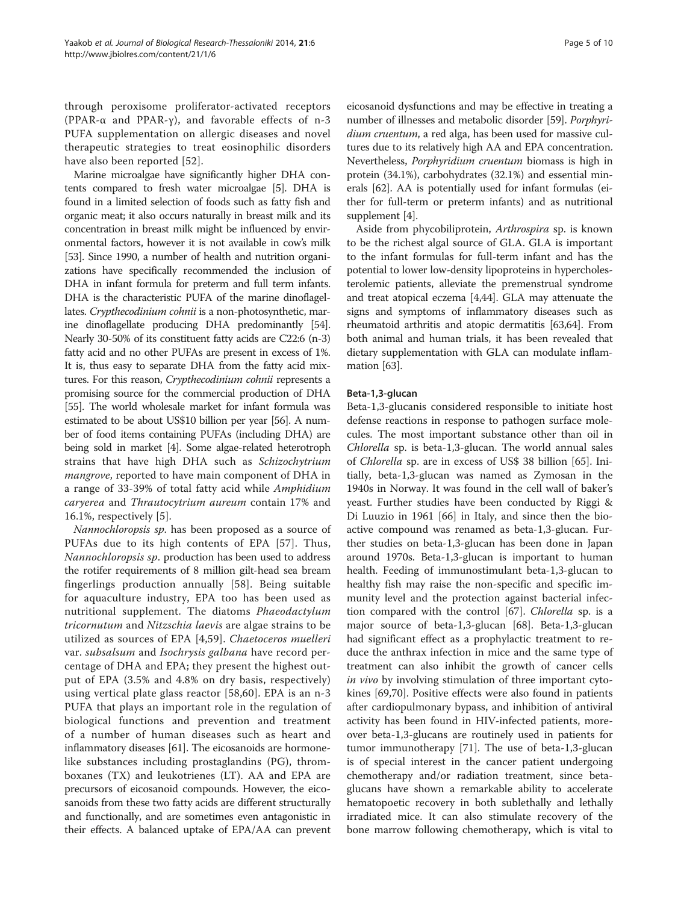have also been reported [[52](#page-8-0)]. Μarine microalgae have significantly higher DHA contents compared to fresh water microalgae [\[5\]](#page-7-0). DHA is found in a limited selection of foods such as fatty fish and organic meat; it also occurs naturally in breast milk and its concentration in breast milk might be influenced by environmental factors, however it is not available in cow's milk [[53](#page-8-0)]. Since 1990, a number of health and nutrition organizations have specifically recommended the inclusion of DHA in infant formula for preterm and full term infants. DHA is the characteristic PUFA of the marine dinoflagellates. Crypthecodinium cohnii is a non-photosynthetic, marine dinoflagellate producing DHA predominantly [\[54](#page-8-0)]. Nearly 30-50% of its constituent fatty acids are C22:6 (n-3) fatty acid and no other PUFAs are present in excess of 1%. It is, thus easy to separate DHA from the fatty acid mixtures. For this reason, Crypthecodinium cohnii represents a promising source for the commercial production of DHA [[55](#page-8-0)]. The world wholesale market for infant formula was estimated to be about US\$10 billion per year [\[56\]](#page-8-0). A number of food items containing PUFAs (including DHA) are being sold in market [[4](#page-7-0)]. Some algae-related heterotroph strains that have high DHA such as Schizochytrium mangrove, reported to have main component of DHA in a range of 33-39% of total fatty acid while Amphidium caryerea and Thrautocytrium aureum contain 17% and 16.1%, respectively [\[5](#page-7-0)].

Nannochloropsis sp. has been proposed as a source of PUFAs due to its high contents of EPA [[57\]](#page-8-0). Thus, Nannochloropsis sp. production has been used to address the rotifer requirements of 8 million gilt-head sea bream fingerlings production annually [[58](#page-8-0)]. Being suitable for aquaculture industry, EPA too has been used as nutritional supplement. The diatoms Phaeodactylum tricornutum and Nitzschia laevis are algae strains to be utilized as sources of EPA [[4](#page-7-0)[,59\]](#page-8-0). Chaetoceros muelleri var. subsalsum and Isochrysis galbana have record percentage of DHA and EPA; they present the highest output of EPA (3.5% and 4.8% on dry basis, respectively) using vertical plate glass reactor [[58,60](#page-8-0)]. EPA is an n-3 PUFA that plays an important role in the regulation of biological functions and prevention and treatment of a number of human diseases such as heart and inflammatory diseases [[61](#page-8-0)]. The eicosanoids are hormonelike substances including prostaglandins (PG), thromboxanes (TX) and leukotrienes (LT). AA and EPA are precursors of eicosanoid compounds. However, the eicosanoids from these two fatty acids are different structurally and functionally, and are sometimes even antagonistic in their effects. A balanced uptake of EPA/AA can prevent

eicosanoid dysfunctions and may be effective in treating a number of illnesses and metabolic disorder [\[59](#page-8-0)]. Porphyridium cruentum, a red alga, has been used for massive cultures due to its relatively high AA and EPA concentration. Nevertheless, Porphyridium cruentum biomass is high in protein (34.1%), carbohydrates (32.1%) and essential minerals [\[62\]](#page-8-0). AA is potentially used for infant formulas (either for full-term or preterm infants) and as nutritional supplement [\[4](#page-7-0)].

Aside from phycobiliprotein, Arthrospira sp. is known to be the richest algal source of GLA. GLA is important to the infant formulas for full-term infant and has the potential to lower low-density lipoproteins in hypercholesterolemic patients, alleviate the premenstrual syndrome and treat atopical eczema [\[4](#page-7-0)[,44\]](#page-8-0). GLA may attenuate the signs and symptoms of inflammatory diseases such as rheumatoid arthritis and atopic dermatitis [\[63,64](#page-9-0)]. From both animal and human trials, it has been revealed that dietary supplementation with GLA can modulate inflammation [[63](#page-9-0)].

#### Beta-1,3-glucan

Beta-1,3-glucanis considered responsible to initiate host defense reactions in response to pathogen surface molecules. The most important substance other than oil in Chlorella sp. is beta-1,3-glucan. The world annual sales of Chlorella sp. are in excess of US\$ 38 billion [\[65](#page-9-0)]. Initially, beta-1,3-glucan was named as Zymosan in the 1940s in Norway. It was found in the cell wall of baker's yeast. Further studies have been conducted by Riggi & Di Luuzio in 1961 [\[66](#page-9-0)] in Italy, and since then the bioactive compound was renamed as beta-1,3-glucan. Further studies on beta-1,3-glucan has been done in Japan around 1970s. Beta-1,3-glucan is important to human health. Feeding of immunostimulant beta-1,3-glucan to healthy fish may raise the non-specific and specific immunity level and the protection against bacterial infection compared with the control [[67](#page-9-0)]. Chlorella sp. is a major source of beta-1,3-glucan [[68\]](#page-9-0). Beta-1,3-glucan had significant effect as a prophylactic treatment to reduce the anthrax infection in mice and the same type of treatment can also inhibit the growth of cancer cells in vivo by involving stimulation of three important cytokines [\[69,70\]](#page-9-0). Positive effects were also found in patients after cardiopulmonary bypass, and inhibition of antiviral activity has been found in HIV-infected patients, moreover beta-1,3-glucans are routinely used in patients for tumor immunotherapy [[71](#page-9-0)]. The use of beta-1,3-glucan is of special interest in the cancer patient undergoing chemotherapy and/or radiation treatment, since betaglucans have shown a remarkable ability to accelerate hematopoetic recovery in both sublethally and lethally irradiated mice. It can also stimulate recovery of the bone marrow following chemotherapy, which is vital to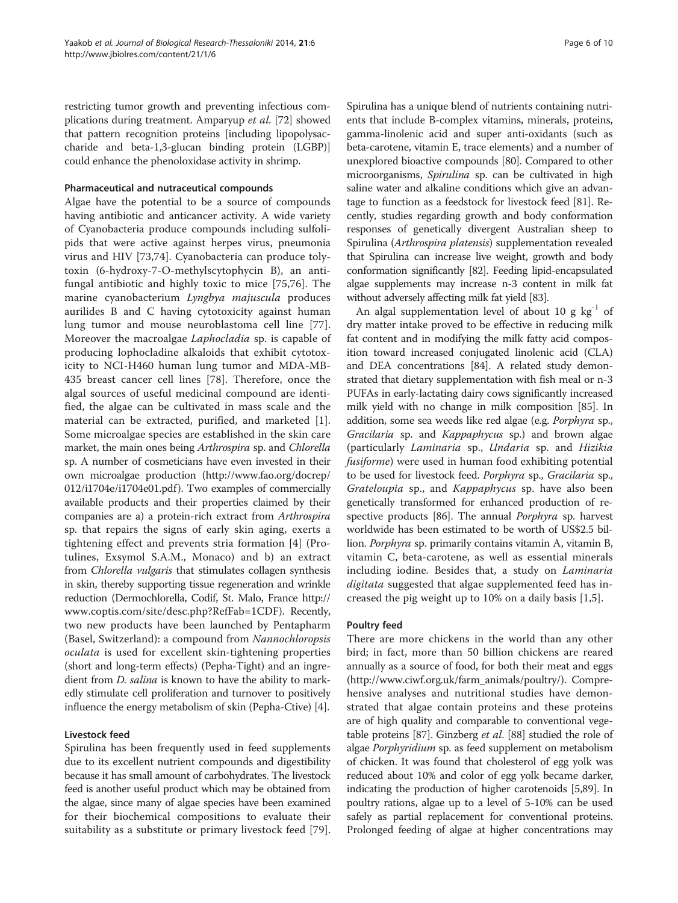restricting tumor growth and preventing infectious complications during treatment. Amparyup et al. [\[72](#page-9-0)] showed that pattern recognition proteins [including lipopolysaccharide and beta-1,3-glucan binding protein (LGBP)] could enhance the phenoloxidase activity in shrimp.

#### Pharmaceutical and nutraceutical compounds

Algae have the potential to be a source of compounds having antibiotic and anticancer activity. A wide variety of Cyanobacteria produce compounds including sulfolipids that were active against herpes virus, pneumonia virus and HIV [[73,74](#page-9-0)]. Cyanobacteria can produce tolytoxin (6-hydroxy-7-O-methylscytophycin B), an antifungal antibiotic and highly toxic to mice [\[75,76\]](#page-9-0). The marine cyanobacterium Lyngbya majuscula produces aurilides B and C having cytotoxicity against human lung tumor and mouse neuroblastoma cell line [\[77](#page-9-0)]. Moreover the macroalgae Laphocladia sp. is capable of producing lophocladine alkaloids that exhibit cytotoxicity to NCI-H460 human lung tumor and MDA-MB-435 breast cancer cell lines [[78\]](#page-9-0). Therefore, once the algal sources of useful medicinal compound are identified, the algae can be cultivated in mass scale and the material can be extracted, purified, and marketed [\[1](#page-7-0)]. Some microalgae species are established in the skin care market, the main ones being Arthrospira sp. and Chlorella sp. A number of cosmeticians have even invested in their own microalgae production ([http://www.fao.org/docrep/](http://www.fao.org/docrep/012/i1704e/i1704e01.pdf) [012/i1704e/i1704e01.pdf](http://www.fao.org/docrep/012/i1704e/i1704e01.pdf)). Two examples of commercially available products and their properties claimed by their companies are a) a protein-rich extract from Arthrospira sp. that repairs the signs of early skin aging, exerts a tightening effect and prevents stria formation [\[4](#page-7-0)] (Protulines, Exsymol S.A.M., Monaco) and b) an extract from Chlorella vulgaris that stimulates collagen synthesis in skin, thereby supporting tissue regeneration and wrinkle reduction (Dermochlorella, Codif, St. Malo, France [http://](http://www.coptis.com/site/desc.php?RefFab=1CDF) [www.coptis.com/site/desc.php?RefFab=1CDF\)](http://www.coptis.com/site/desc.php?RefFab=1CDF). Recently, two new products have been launched by Pentapharm (Basel, Switzerland): a compound from Nannochloropsis oculata is used for excellent skin-tightening properties (short and long-term effects) (Pepha-Tight) and an ingredient from *D. salina* is known to have the ability to markedly stimulate cell proliferation and turnover to positively influence the energy metabolism of skin (Pepha-Ctive) [\[4](#page-7-0)].

#### Livestock feed

Spirulina has been frequently used in feed supplements due to its excellent nutrient compounds and digestibility because it has small amount of carbohydrates. The livestock feed is another useful product which may be obtained from the algae, since many of algae species have been examined for their biochemical compositions to evaluate their suitability as a substitute or primary livestock feed [\[79](#page-9-0)]. Spirulina has a unique blend of nutrients containing nutrients that include B-complex vitamins, minerals, proteins, gamma-linolenic acid and super anti-oxidants (such as beta-carotene, vitamin E, trace elements) and a number of unexplored bioactive compounds [[80](#page-9-0)]. Compared to other microorganisms, Spirulina sp. can be cultivated in high saline water and alkaline conditions which give an advantage to function as a feedstock for livestock feed [[81](#page-9-0)]. Recently, studies regarding growth and body conformation responses of genetically divergent Australian sheep to Spirulina (Arthrospira platensis) supplementation revealed that Spirulina can increase live weight, growth and body conformation significantly [\[82](#page-9-0)]. Feeding lipid-encapsulated algae supplements may increase n-3 content in milk fat without adversely affecting milk fat yield [\[83](#page-9-0)].

An algal supplementation level of about 10 g  $kg^{-1}$  of dry matter intake proved to be effective in reducing milk fat content and in modifying the milk fatty acid composition toward increased conjugated linolenic acid (CLA) and DEA concentrations [\[84](#page-9-0)]. A related study demonstrated that dietary supplementation with fish meal or n-3 PUFAs in early-lactating dairy cows significantly increased milk yield with no change in milk composition [[85](#page-9-0)]. In addition, some sea weeds like red algae (e.g. Porphyra sp., Gracilaria sp. and Kappaphycus sp.) and brown algae (particularly Laminaria sp., Undaria sp. and Hizikia fusiforme) were used in human food exhibiting potential to be used for livestock feed. Porphyra sp., Gracilaria sp., Grateloupia sp., and Kappaphycus sp. have also been genetically transformed for enhanced production of re-spective products [\[86\]](#page-9-0). The annual *Porphyra* sp. harvest worldwide has been estimated to be worth of US\$2.5 billion. Porphyra sp. primarily contains vitamin A, vitamin B, vitamin C, beta-carotene, as well as essential minerals including iodine. Besides that, a study on Laminaria digitata suggested that algae supplemented feed has increased the pig weight up to 10% on a daily basis [[1,5\]](#page-7-0).

#### Poultry feed

There are more chickens in the world than any other bird; in fact, more than 50 billion chickens are reared annually as a source of food, for both their meat and eggs ([http://www.ciwf.org.uk/farm\\_animals/poultry/\)](http://www.ciwf.org.uk/farm_animals/poultry/). Comprehensive analyses and nutritional studies have demonstrated that algae contain proteins and these proteins are of high quality and comparable to conventional vege-table proteins [[87](#page-9-0)]. Ginzberg et al. [\[88\]](#page-9-0) studied the role of algae *Porphyridium* sp. as feed supplement on metabolism of chicken. It was found that cholesterol of egg yolk was reduced about 10% and color of egg yolk became darker, indicating the production of higher carotenoids [[5,](#page-7-0)[89](#page-9-0)]. In poultry rations, algae up to a level of 5-10% can be used safely as partial replacement for conventional proteins. Prolonged feeding of algae at higher concentrations may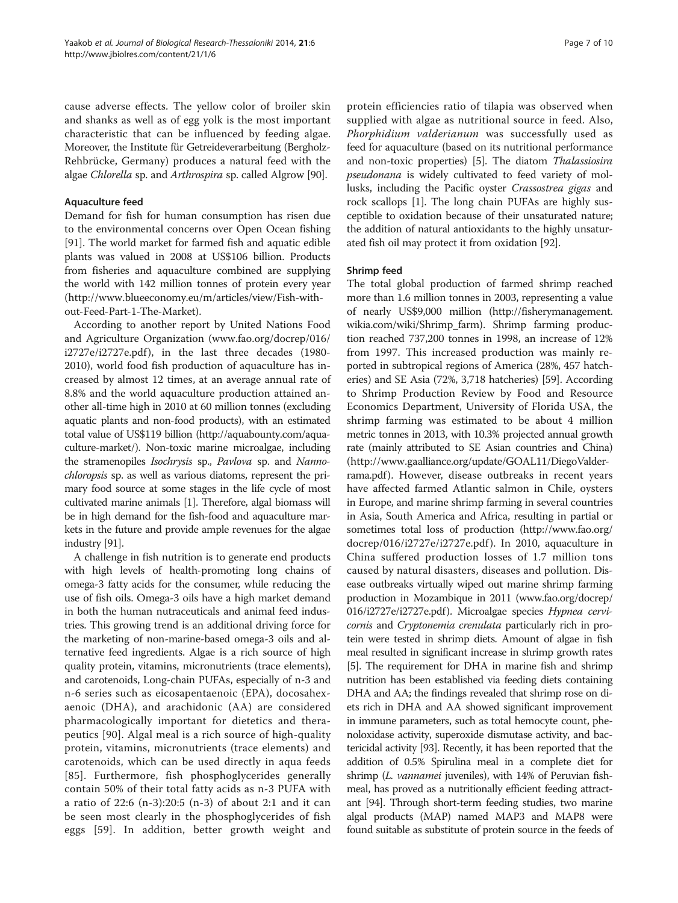cause adverse effects. The yellow color of broiler skin and shanks as well as of egg yolk is the most important characteristic that can be influenced by feeding algae. Moreover, the Institute für Getreideverarbeitung (Bergholz-Rehbrücke, Germany) produces a natural feed with the algae Chlorella sp. and Arthrospira sp. called Algrow [[90](#page-9-0)].

#### Aquaculture feed

Demand for fish for human consumption has risen due to the environmental concerns over Open Ocean fishing [[91](#page-9-0)]. The world market for farmed fish and aquatic edible plants was valued in 2008 at US\$106 billion. Products from fisheries and aquaculture combined are supplying the world with 142 million tonnes of protein every year ([http://www.blueeconomy.eu/m/articles/view/Fish-with](http://www.blueeconomy.eu/m/articles/view/Fish-without-Feed-Part-1-The-Market)[out-Feed-Part-1-The-Market\)](http://www.blueeconomy.eu/m/articles/view/Fish-without-Feed-Part-1-The-Market).

According to another report by United Nations Food and Agriculture Organization [\(www.fao.org/docrep/016/](http://www.fao.org/docrep/016/i2727e/i2727e.pdf) [i2727e/i2727e.pdf](http://www.fao.org/docrep/016/i2727e/i2727e.pdf)), in the last three decades (1980-2010), world food fish production of aquaculture has increased by almost 12 times, at an average annual rate of 8.8% and the world aquaculture production attained another all-time high in 2010 at 60 million tonnes (excluding aquatic plants and non-food products), with an estimated total value of US\$119 billion [\(http://aquabounty.com/aqua](http://aquabounty.com/aquaculture-market/)[culture-market/\)](http://aquabounty.com/aquaculture-market/). Non-toxic marine microalgae, including the stramenopiles Isochrysis sp., Pavlova sp. and Nannochloropsis sp. as well as various diatoms, represent the primary food source at some stages in the life cycle of most cultivated marine animals [\[1](#page-7-0)]. Therefore, algal biomass will be in high demand for the fish-food and aquaculture markets in the future and provide ample revenues for the algae industry [\[91\]](#page-9-0).

A challenge in fish nutrition is to generate end products with high levels of health-promoting long chains of omega-3 fatty acids for the consumer, while reducing the use of fish oils. Omega-3 oils have a high market demand in both the human nutraceuticals and animal feed industries. This growing trend is an additional driving force for the marketing of non-marine-based omega-3 oils and alternative feed ingredients. Algae is a rich source of high quality protein, vitamins, micronutrients (trace elements), and carotenoids, Long-chain PUFAs, especially of n-3 and n-6 series such as eicosapentaenoic (EPA), docosahexaenoic (DHA), and arachidonic (AA) are considered pharmacologically important for dietetics and therapeutics [[90](#page-9-0)]. Algal meal is a rich source of high-quality protein, vitamins, micronutrients (trace elements) and carotenoids, which can be used directly in aqua feeds [[85](#page-9-0)]. Furthermore, fish phosphoglycerides generally contain 50% of their total fatty acids as n-3 PUFA with a ratio of 22:6 (n-3):20:5 (n-3) of about 2:1 and it can be seen most clearly in the phosphoglycerides of fish eggs [[59\]](#page-8-0). In addition, better growth weight and

protein efficiencies ratio of tilapia was observed when supplied with algae as nutritional source in feed. Also, Phorphidium valderianum was successfully used as feed for aquaculture (based on its nutritional performance and non-toxic properties) [\[5](#page-7-0)]. The diatom Thalassiosira pseudonana is widely cultivated to feed variety of mollusks, including the Pacific oyster Crassostrea gigas and rock scallops [[1\]](#page-7-0). The long chain PUFAs are highly susceptible to oxidation because of their unsaturated nature; the addition of natural antioxidants to the highly unsaturated fish oil may protect it from oxidation [[92](#page-9-0)].

#### Shrimp feed

The total global production of farmed shrimp reached more than 1.6 million tonnes in 2003, representing a value of nearly US\$9,000 million ([http://fisherymanagement.](http://fisherymanagement.wikia.com/wiki/Shrimp_farm) [wikia.com/wiki/Shrimp\\_farm](http://fisherymanagement.wikia.com/wiki/Shrimp_farm)). Shrimp farming production reached 737,200 tonnes in 1998, an increase of 12% from 1997. This increased production was mainly reported in subtropical regions of America (28%, 457 hatcheries) and SE Asia (72%, 3,718 hatcheries) [\[59\]](#page-8-0). According to Shrimp Production Review by Food and Resource Economics Department, University of Florida USA, the shrimp farming was estimated to be about 4 million metric tonnes in 2013, with 10.3% projected annual growth rate (mainly attributed to SE Asian countries and China) ([http://www.gaalliance.org/update/GOAL11/DiegoValder](http://www.gaalliance.org/update/GOAL11/DiegoValderrama.pdf)[rama.pdf](http://www.gaalliance.org/update/GOAL11/DiegoValderrama.pdf)). However, disease outbreaks in recent years have affected farmed Atlantic salmon in Chile, oysters in Europe, and marine shrimp farming in several countries in Asia, South America and Africa, resulting in partial or sometimes total loss of production ([http://www.fao.org/](http://www.fao.org/docrep/016/i2727e/i2727e.pdf) [docrep/016/i2727e/i2727e.pdf](http://www.fao.org/docrep/016/i2727e/i2727e.pdf) ). In 2010, aquaculture in China suffered production losses of 1.7 million tons caused by natural disasters, diseases and pollution. Disease outbreaks virtually wiped out marine shrimp farming production in Mozambique in 2011 [\(www.fao.org/docrep/](http://www.fao.org/docrep/016/i2727e/i2727e.pdf) [016/i2727e/i2727e.pdf](http://www.fao.org/docrep/016/i2727e/i2727e.pdf)). Microalgae species Hypnea cervicornis and Cryptonemia crenulata particularly rich in protein were tested in shrimp diets. Amount of algae in fish meal resulted in significant increase in shrimp growth rates [[5](#page-7-0)]. The requirement for DHA in marine fish and shrimp nutrition has been established via feeding diets containing DHA and AA; the findings revealed that shrimp rose on diets rich in DHA and AA showed significant improvement in immune parameters, such as total hemocyte count, phenoloxidase activity, superoxide dismutase activity, and bactericidal activity [\[93](#page-9-0)]. Recently, it has been reported that the addition of 0.5% Spirulina meal in a complete diet for shrimp (L. vannamei juveniles), with 14% of Peruvian fishmeal, has proved as a nutritionally efficient feeding attractant [\[94\]](#page-9-0). Through short-term feeding studies, two marine algal products (MAP) named MAP3 and MAP8 were found suitable as substitute of protein source in the feeds of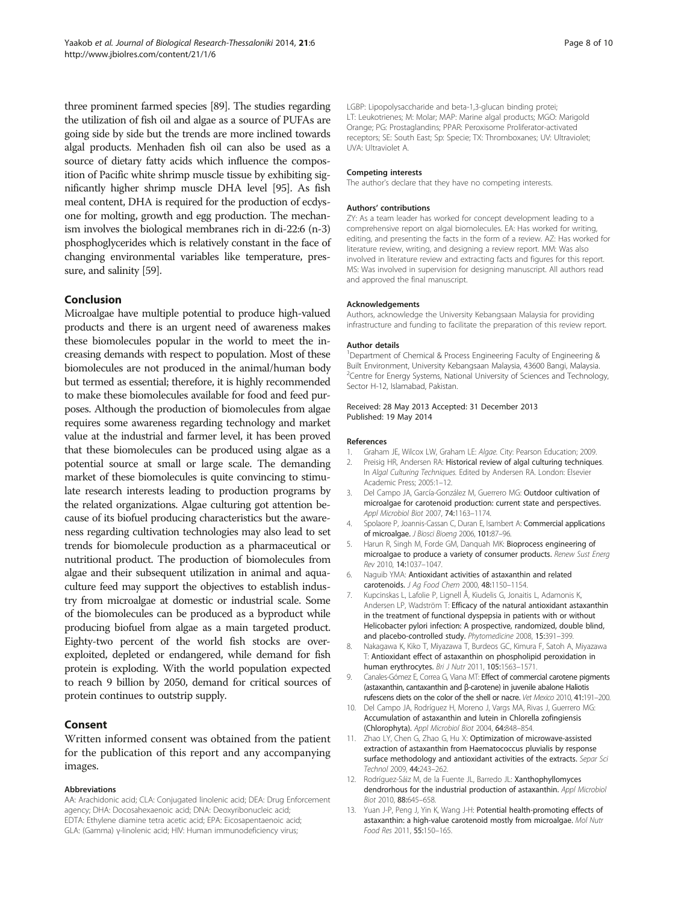<span id="page-7-0"></span>three prominent farmed species [[89](#page-9-0)]. The studies regarding the utilization of fish oil and algae as a source of PUFAs are going side by side but the trends are more inclined towards algal products. Menhaden fish oil can also be used as a source of dietary fatty acids which influence the composition of Pacific white shrimp muscle tissue by exhibiting significantly higher shrimp muscle DHA level [\[95\]](#page-9-0). As fish meal content, DHA is required for the production of ecdysone for molting, growth and egg production. The mechanism involves the biological membranes rich in di-22:6 (n-3) phosphoglycerides which is relatively constant in the face of changing environmental variables like temperature, pressure, and salinity [[59](#page-8-0)].

#### Conclusion

Microalgae have multiple potential to produce high-valued products and there is an urgent need of awareness makes these biomolecules popular in the world to meet the increasing demands with respect to population. Most of these biomolecules are not produced in the animal/human body but termed as essential; therefore, it is highly recommended to make these biomolecules available for food and feed purposes. Although the production of biomolecules from algae requires some awareness regarding technology and market value at the industrial and farmer level, it has been proved that these biomolecules can be produced using algae as a potential source at small or large scale. The demanding market of these biomolecules is quite convincing to stimulate research interests leading to production programs by the related organizations. Algae culturing got attention because of its biofuel producing characteristics but the awareness regarding cultivation technologies may also lead to set trends for biomolecule production as a pharmaceutical or nutritional product. The production of biomolecules from algae and their subsequent utilization in animal and aquaculture feed may support the objectives to establish industry from microalgae at domestic or industrial scale. Some of the biomolecules can be produced as a byproduct while producing biofuel from algae as a main targeted product. Eighty-two percent of the world fish stocks are overexploited, depleted or endangered, while demand for fish protein is exploding. With the world population expected to reach 9 billion by 2050, demand for critical sources of protein continues to outstrip supply.

#### Consent

Written informed consent was obtained from the patient for the publication of this report and any accompanying images.

#### Abbreviations

AA: Arachidonic acid; CLA: Conjugated linolenic acid; DEA: Drug Enforcement agency; DHA: Docosahexaenoic acid; DNA: Deoxyribonucleic acid; EDTA: Ethylene diamine tetra acetic acid; EPA: Eicosapentaenoic acid; GLA: (Gamma) γ-linolenic acid; HIV: Human immunodeficiency virus;

LGBP: Lipopolysaccharide and beta-1,3-glucan binding protei; LT: Leukotrienes; M: Molar; MAP: Marine algal products; MGO: Marigold Orange; PG: Prostaglandins; PPAR: Peroxisome Proliferator-activated receptors; SE: South East; Sp: Specie; TX: Thromboxanes; UV: Ultraviolet; UVA: Ultraviolet A.

#### Competing interests

The author's declare that they have no competing interests.

#### Authors' contributions

ZY: As a team leader has worked for concept development leading to a comprehensive report on algal biomolecules. EA: Has worked for writing, editing, and presenting the facts in the form of a review. AZ: Has worked for literature review, writing, and designing a review report. MM: Was also involved in literature review and extracting facts and figures for this report. MS: Was involved in supervision for designing manuscript. All authors read and approved the final manuscript.

#### Acknowledgements

Authors, acknowledge the University Kebangsaan Malaysia for providing infrastructure and funding to facilitate the preparation of this review report.

#### Author details

<sup>1</sup>Department of Chemical & Process Engineering Faculty of Engineering & Built Environment, University Kebangsaan Malaysia, 43600 Bangi, Malaysia. <sup>2</sup> Centre for Energy Systems, National University of Sciences and Technology, Sector H-12, Islamabad, Pakistan.

#### Received: 28 May 2013 Accepted: 31 December 2013 Published: 19 May 2014

#### References

- 1. Graham JE, Wilcox LW, Graham LE: Algae. City: Pearson Education; 2009.
- 2. Preisig HR, Andersen RA: Historical review of algal culturing techniques. In Algal Culturing Techniques. Edited by Andersen RA. London: Elsevier Academic Press; 2005:1–12.
- 3. Del Campo JA, García-González M, Guerrero MG: Outdoor cultivation of microalgae for carotenoid production: current state and perspectives. Appl Microbiol Biot 2007, 74:1163–1174.
- 4. Spolaore P, Joannis-Cassan C, Duran E, Isambert A: **Commercial applications** of microalgae. J Biosci Bioeng 2006, 101:87–96.
- 5. Harun R, Singh M, Forde GM, Danquah MK: Bioprocess engineering of microalgae to produce a variety of consumer products. Renew Sust Energ Rev 2010, 14:1037–1047.
- 6. Naguib YMA: Antioxidant activities of astaxanthin and related carotenoids. J Ag Food Chem 2000, 48:1150–1154.
- 7. Kupcinskas L, Lafolie P, Lignell Å, Kiudelis G, Jonaitis L, Adamonis K, Andersen LP, Wadström Τ: Efficacy of the natural antioxidant astaxanthin in the treatment of functional dyspepsia in patients with or without Helicobacter pylori infection: A prospective, randomized, double blind, and placebo-controlled study. Phytomedicine 2008, 15:391–399.
- 8. Nakagawa K, Kiko T, Miyazawa T, Burdeos GC, Kimura F, Satoh A, Miyazawa T: Antioxidant effect of astaxanthin on phospholipid peroxidation in human erythrocytes. Bri J Nutr 2011, 105:1563–1571.
- 9. Canales-Gómez E, Correa G, Viana MT: Effect of commercial carotene pigments (astaxanthin, cantaxanthin and β-carotene) in juvenile abalone Haliotis rufescens diets on the color of the shell or nacre. Vet Mexico 2010, 41:191–200.
- 10. Del Campo JA, Rodríguez H, Moreno J, Vargs MA, Rivas J, Guerrero MG: Accumulation of astaxanthin and lutein in Chlorella zofingiensis (Chlorophyta). Appl Microbiol Biot 2004, 64:848–854.
- 11. Zhao LY, Chen G, Zhao G, Hu X: Optimization of microwave-assisted extraction of astaxanthin from Haematococcus pluvialis by response surface methodology and antioxidant activities of the extracts. Separ Sci Technol 2009, 44:243–262.
- 12. Rodríguez-Sáiz M, de la Fuente JL, Barredo JL: Xanthophyllomyces dendrorhous for the industrial production of astaxanthin. Appl Microbiol Biot 2010, 88:645–658.
- 13. Yuan J-P, Peng J, Yin K, Wang J-H: Potential health-promoting effects of astaxanthin: a high-value carotenoid mostly from microalgae. Mol Nutr Food Res 2011, 55:150–165.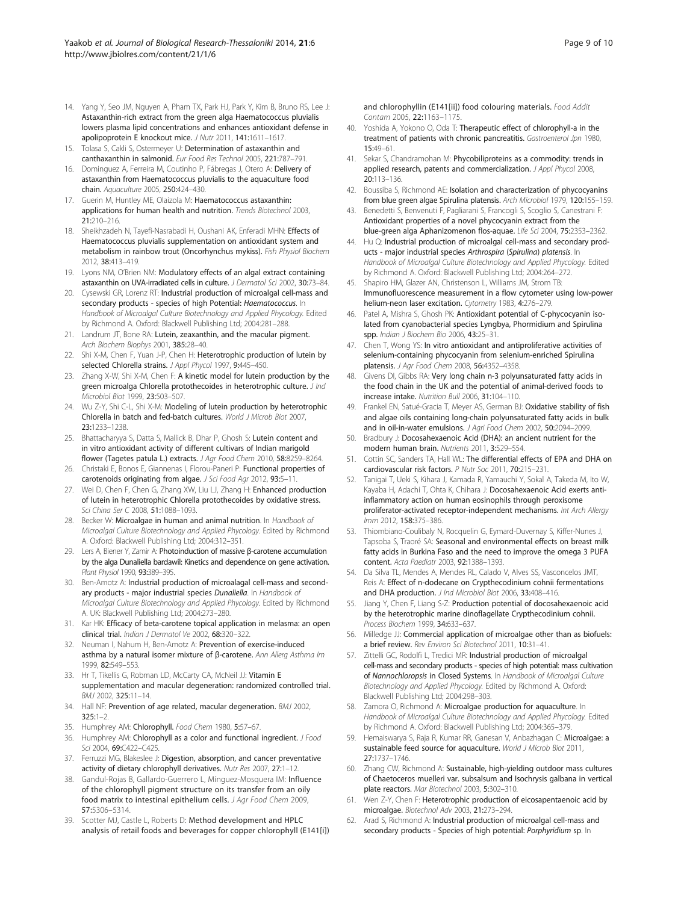- <span id="page-8-0"></span>14. Yang Y, Seo JM, Nguyen A, Pham TX, Park HJ, Park Y, Kim B, Bruno RS, Lee J: Astaxanthin-rich extract from the green alga Haematococcus pluvialis lowers plasma lipid concentrations and enhances antioxidant defense in apolipoprotein E knockout mice. J Nutr 2011, 141:1611–1617.
- 15. Tolasa S, Cakli S, Ostermeyer U: Determination of astaxanthin and canthaxanthin in salmonid. Eur Food Res Technol 2005, 221:787–791.
- 16. Dominguez A, Ferreira M, Coutinho P, Fábregas J, Otero A: Delivery of astaxanthin from Haematococcus pluvialis to the aquaculture food chain. Aquaculture 2005, 250:424–430.
- 17. Guerin M, Huntley ME, Olaizola M: Haematococcus astaxanthin: applications for human health and nutrition. Trends Biotechnol 2003, 21:210–216.
- 18. Sheikhzadeh N, Tayefi-Nasrabadi H, Oushani AK, Enferadi ΜΗΝ: Effects of Haematococcus pluvialis supplementation on antioxidant system and metabolism in rainbow trout (Oncorhynchus mykiss). Fish Physiol Biochem 2012, 38:413–419.
- 19. Lyons NM, O'Brien NM: Modulatory effects of an algal extract containing astaxanthin on UVA-irradiated cells in culture. J Dermatol Sci 2002, 30:73-84.
- 20. Cysewski GR, Lorenz RT: Industrial production of microalgal cell-mass and secondary products - species of high Potential: Haematococcus. In Handbook of Microalgal Culture Biotechnology and Applied Phycology. Edited by Richmond A. Oxford: Blackwell Publishing Ltd; 2004:281–288.
- 21. Landrum JT, Bone RA: Lutein, zeaxanthin, and the macular pigment. Arch Biochem Biophys 2001, 385:28–40.
- 22. Shi X-M, Chen F, Yuan J-P, Chen H: Heterotrophic production of lutein by selected Chlorella strains. J Appl Phycol 1997, 9:445-450.
- 23. Zhang X-W, Shi X-M, Chen F: A kinetic model for lutein production by the green microalga Chlorella protothecoides in heterotrophic culture. J Ind Microbiol Biot 1999, 23:503–507.
- 24. Wu Z-Y, Shi C-L, Shi X-M: Modeling of lutein production by heterotrophic Chlorella in batch and fed-batch cultures. World J Microb Biot 2007, 23:1233–1238.
- 25. Bhattacharyya S, Datta S, Mallick B, Dhar P, Ghosh S: Lutein content and in vitro antioxidant activity of different cultivars of Indian marigold flower (Tagetes patula L.) extracts. J Agr Food Chem 2010, 58:8259-8264.
- 26. Christaki E, Bonos E, Giannenas I, Florou-Paneri P: Functional properties of carotenoids originating from algae. J Sci Food Agr 2012, 93:5–11.
- 27. Wei D, Chen F, Chen G, Zhang XW, Liu LJ, Zhang H: Enhanced production of lutein in heterotrophic Chlorella protothecoides by oxidative stress. Sci China Ser C 2008, 51:1088–1093.
- 28. Becker W: Microalgae in human and animal nutrition. In Handbook of Microalgal Culture Biotechnology and Applied Phycology. Edited by Richmond A. Oxford: Blackwell Publishing Ltd; 2004:312–351.
- 29. Lers A, Biener Y, Zamir A: Photoinduction of massive β-carotene accumulation by the alga Dunaliella bardawil: Kinetics and dependence on gene activation. Plant Physiol 1990, 93:389–395.
- 30. Ben-Amotz A: Industrial production of microalagal cell-mass and secondary products - major industrial species Dunaliella. In Handbook of Microalgal Culture Biotechnology and Applied Phycology. Edited by Richmond A. UK: Blackwell Publishing Ltd; 2004:273–280.
- 31. Kar HK: Efficacy of beta-carotene topical application in melasma: an open clinical trial. Indian J Dermatol Ve 2002, 68:320-322.
- 32. Neuman I, Nahum H, Ben-Amotz A: Prevention of exercise-induced asthma by a natural isomer mixture of β-carotene. Ann Allerg Asthma Im 1999, 82:549–553.
- 33. Hr T, Tikellis G, Robman LD, McCarty CA, McNeil JJ: Vitamin E supplementation and macular degeneration: randomized controlled trial. BMJ 2002, 325:11–14.
- 34. Hall NF: Prevention of age related, macular degeneration. BMJ 2002,  $325:1-2$
- 35. Humphrey AM: Chlorophyll. Food Chem 1980, 5:57–67.
- 36. Humphrey AM: Chlorophyll as a color and functional ingredient. J Food Sci 2004, 69:C422-C425.
- 37. Ferruzzi MG, Blakeslee J: Digestion, absorption, and cancer preventative activity of dietary chlorophyll derivatives. Nutr Res 2007, 27:1-12.
- 38. Gandul-Rojas B, Gallardo-Guerrero L, Mínguez-Mosquera IM: Influence of the chlorophyll pigment structure on its transfer from an oily food matrix to intestinal epithelium cells. J Agr Food Chem 2009, 57:5306–5314.
- 39. Scotter MJ, Castle L, Roberts D: Method development and HPLC analysis of retail foods and beverages for copper chlorophyll (E141[i])

and chlorophyllin (E141[ii]) food colouring materials. Food Addit Contam 2005, 22:1163–1175.

- 40. Yoshida A, Yokono O, Oda T: Therapeutic effect of chlorophyll-a in the treatment of patients with chronic pancreatitis. Gastroenterol Jpn 1980, 15:49–61.
- 41. Sekar S, Chandramohan M: Phycobiliproteins as a commodity: trends in applied research, patents and commercialization. J Appl Phycol 2008, 20:113–136.
- 42. Boussiba S, Richmond AE: Isolation and characterization of phycocyanins from blue green algae Spirulina platensis. Arch Microbiol 1979, 120:155–159.
- 43. Benedetti S, Benvenuti F, Pagliarani S, Francogli S, Scoglio S, Canestrani F: Antioxidant properties of a novel phycocyanin extract from the blue-green alga Aphanizomenon flos-aquae. Life Sci 2004, 75:2353–2362.
- 44. Hu Q: Industrial production of microalgal cell-mass and secondary products - major industrial species Arthrospira (Spirulina) platensis. In Handbook of Microalgal Culture Biotechnology and Applied Phycology. Edited by Richmond A. Oxford: Blackwell Publishing Ltd; 2004:264–272.
- Shapiro HM, Glazer AN, Christenson L, Williams JM, Strom TB: Immunofluorescence measurement in a flow cytometer using low-power helium-neon laser excitation. Cytometry 1983, 4:276-279.
- 46. Patel A, Mishra S, Ghosh PK: Antioxidant potential of C-phycocyanin isolated from cyanobacterial species Lyngbya, Phormidium and Spirulina spp. Indian J Biochem Bio 2006, 43:25–31.
- 47. Chen T, Wong YS: In vitro antioxidant and antiproliferative activities of selenium-containing phycocyanin from selenium-enriched Spirulina platensis. J Agr Food Chem 2008, 56:4352–4358.
- 48. Givens DI, Gibbs RA: Very long chain n-3 polyunsaturated fatty acids in the food chain in the UK and the potential of animal-derived foods to increase intake. Nutrition Bull 2006, 31:104–110.
- 49. Frankel EN, Satué-Gracia T, Meyer AS, German BJ: Oxidative stability of fish and algae oils containing long-chain polyunsaturated fatty acids in bulk and in oil-in-water emulsions. J Agri Food Chem 2002, 50:2094–2099.
- 50. Bradbury J: Docosahexaenoic Acid (DHA): an ancient nutrient for the modern human brain. Nutrients 2011, 3:529–554.
- 51. Cottin SC, Sanders TA, Hall WL: The differential effects of EPA and DHA on cardiovascular risk factors. P Nutr Soc 2011, 70:215–231.
- 52. Tanigai T, Ueki S, Kihara J, Kamada R, Yamauchi Y, Sokal A, Takeda M, Ito W, Kayaba H, Adachi T, Ohta K, Chihara J: Docosahexaenoic Acid exerts antiinflammatory action on human eosinophils through peroxisome proliferator-activated receptor-independent mechanisms. Int Arch Allergy Imm 2012, 158:375–386.
- 53. Thiombiano-Coulibaly N, Rocquelin G, Eymard-Duvernay S, Kiffer-Nunes J, Tapsoba S, Traoré SA: Seasonal and environmental effects on breast milk fatty acids in Burkina Faso and the need to improve the omega 3 PUFA content. Acta Paediatr 2003, 92:1388–1393.
- 54. Da Silva TL, Mendes A, Mendes RL, Calado V, Alves SS, Vasconcelos JMT, Reis A: Effect of n-dodecane on Crypthecodinium cohnii fermentations and DHA production. J Ind Microbiol Biot 2006, 33:408-416.
- 55. Jiang Y, Chen F, Liang S-Z: Production potential of docosahexaenoic acid by the heterotrophic marine dinoflagellate Crypthecodinium cohnii. Process Biochem 1999, 34:633–637.
- 56. Milledge JJ: Commercial application of microalgae other than as biofuels: a brief review. Rev Environ Sci Biotechnol 2011, 10:31–41.
- 57. Zittelli GC, Rodolfi L, Tredici MR: Industrial production of microalgal cell-mass and secondary products - species of high potential: mass cultivation of Nannochloropsis in Closed Systems. In Handbook of Microalgal Culture Biotechnology and Applied Phycology. Edited by Richmond A. Oxford: Blackwell Publishing Ltd; 2004:298–303.
- 58. Zamora O, Richmond A: Microalgae production for aquaculture. In Handbook of Microalgal Culture Biotechnology and Applied Phycology. Edited by Richmond A. Oxford: Blackwell Publishing Ltd; 2004:365–379.
- 59. Hemaiswarya S, Raja R, Kumar RR, Ganesan V, Anbazhagan C: Microalgae: a sustainable feed source for aquaculture. World J Microb Biot 2011, 27:1737–1746.
- 60. Zhang CW, Richmond A: Sustainable, high-yielding outdoor mass cultures of Chaetoceros muelleri var. subsalsum and Isochrysis galbana in vertical plate reactors. Mar Biotechnol 2003, 5:302–310.
- 61. Wen Z-Y, Chen F: Heterotrophic production of eicosapentaenoic acid by microalgae. Biotechnol Adv 2003, 21:273–294.
- 62. Arad S, Richmond A: Industrial production of microalgal cell-mass and secondary products - Species of high potential: Porphyridium sp. In